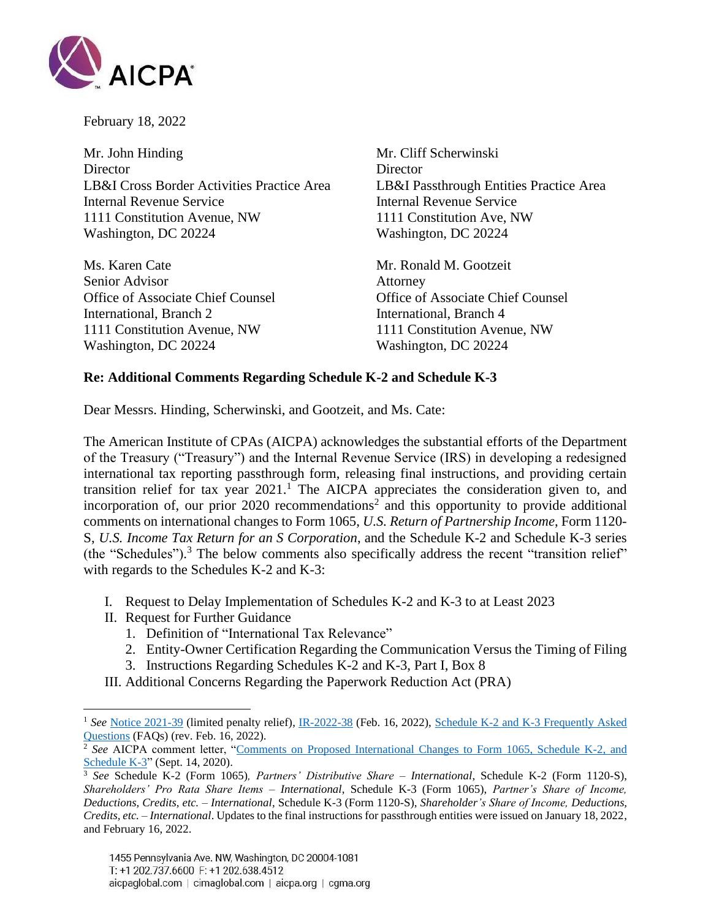

February 18, 2022

Mr. John Hinding Mr. Cliff Scherwinski Director Director LB&I Cross Border Activities Practice Area LB&I Passthrough Entities Practice Area Internal Revenue Service Internal Revenue Service 1111 Constitution Avenue, NW 1111 Constitution Ave, NW Washington, DC 20224 Washington, DC 20224

Ms. Karen Cate Mr. Ronald M. Gootzeit Senior Advisor **Attorney** Office of Associate Chief Counsel Office of Associate Chief Counsel International, Branch 2 International, Branch 4 1111 Constitution Avenue, NW 1111 Constitution Avenue, NW Washington, DC 20224 Washington, DC 20224

## **Re: Additional Comments Regarding Schedule K-2 and Schedule K-3**

Dear Messrs. Hinding, Scherwinski, and Gootzeit, and Ms. Cate:

The American Institute of CPAs (AICPA) acknowledges the substantial efforts of the Department of the Treasury ("Treasury") and the Internal Revenue Service (IRS) in developing a redesigned international tax reporting passthrough form, releasing final instructions, and providing certain transition relief for tax year 2021. <sup>1</sup> The AICPA appreciates the consideration given to, and incorporation of, our prior 2020 recommendations<sup>2</sup> and this opportunity to provide additional comments on international changes to Form 1065, *U.S. Return of Partnership Income*, Form 1120- S, *U.S. Income Tax Return for an S Corporation*, and the Schedule K-2 and Schedule K-3 series (the "Schedules"). <sup>3</sup> The below comments also specifically address the recent "transition relief" with regards to the Schedules K-2 and K-3:

- I. Request to Delay Implementation of Schedules K-2 and K-3 to at Least 2023
- II. Request for Further Guidance
	- 1. Definition of "International Tax Relevance"
	- 2. Entity-Owner Certification Regarding the Communication Versus the Timing of Filing
	- 3. Instructions Regarding Schedules K-2 and K-3, Part I, Box 8
- III. Additional Concerns Regarding the Paperwork Reduction Act (PRA)

<sup>1</sup> *See* [Notice 2021-39](https://www.irs.gov/pub/irs-drop/n-21-39.pdf) (limited penalty relief), [IR-2022-38](https://www.irs.gov/newsroom/irs-provides-further-details-on-additional-relief-for-certain-partnerships-preparing-schedules-k-2-and-k-3-for-2021) (Feb. 16, 2022), [Schedule K-2 and K-3 Frequently Asked](https://www.irs.gov/businesses/schedules-k2-and-k3-frequently-asked-questions-forms-1065-1120s-and-8865)  [Questions](https://www.irs.gov/businesses/schedules-k2-and-k3-frequently-asked-questions-forms-1065-1120s-and-8865) (FAQs) (rev. Feb. 16, 2022).

<sup>&</sup>lt;sup>2</sup> See AICPA comment letter, "Comments on Proposed International Changes to Form 1065, Schedule K-2, and [Schedule K-3"](https://us.aicpa.org/content/dam/aicpa/advocacy/tax/downloadabledocuments/20200914-aicpa-international-form-changes.pdf) (Sept. 14, 2020).

<sup>3</sup> *See* Schedule K-2 (Form 1065)*, Partners' Distributive Share – International*, Schedule K-2 (Form 1120-S), *Shareholders' Pro Rata Share Items – International*, Schedule K-3 (Form 1065), *Partner's Share of Income, Deductions, Credits, etc. – International*, Schedule K-3 (Form 1120-S), *Shareholder's Share of Income, Deductions, Credits, etc. – International*. Updates to the final instructions for passthrough entities were issued on January 18, 2022, and February 16, 2022.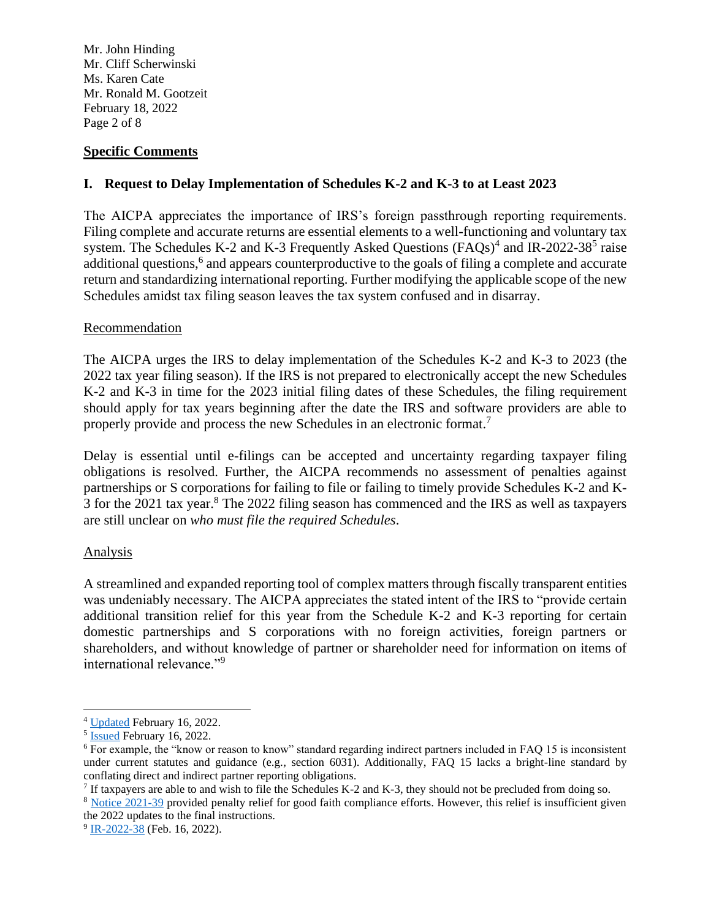Mr. John Hinding Mr. Cliff Scherwinski Ms. Karen Cate Mr. Ronald M. Gootzeit February 18, 2022 Page 2 of 8

### **Specific Comments**

# **I. Request to Delay Implementation of Schedules K-2 and K-3 to at Least 2023**

The AICPA appreciates the importance of IRS's foreign passthrough reporting requirements. Filing complete and accurate returns are essential elements to a well-functioning and voluntary tax system. The Schedules K-2 and K-3 Frequently Asked Questions  $(FAQs)^4$  and IR-2022-38<sup>5</sup> raise additional questions,<sup>6</sup> and appears counterproductive to the goals of filing a complete and accurate return and standardizing international reporting. Further modifying the applicable scope of the new Schedules amidst tax filing season leaves the tax system confused and in disarray.

## Recommendation

The AICPA urges the IRS to delay implementation of the Schedules K-2 and K-3 to 2023 (the 2022 tax year filing season). If the IRS is not prepared to electronically accept the new Schedules K-2 and K-3 in time for the 2023 initial filing dates of these Schedules, the filing requirement should apply for tax years beginning after the date the IRS and software providers are able to properly provide and process the new Schedules in an electronic format.<sup>7</sup>

Delay is essential until e-filings can be accepted and uncertainty regarding taxpayer filing obligations is resolved. Further, the AICPA recommends no assessment of penalties against partnerships or S corporations for failing to file or failing to timely provide Schedules K-2 and K-3 for the 2021 tax year.<sup>8</sup> The 2022 filing season has commenced and the IRS as well as taxpayers are still unclear on *who must file the required Schedules*.

### Analysis

A streamlined and expanded reporting tool of complex matters through fiscally transparent entities was undeniably necessary. The AICPA appreciates the stated intent of the IRS to "provide certain additional transition relief for this year from the Schedule K-2 and K-3 reporting for certain domestic partnerships and S corporations with no foreign activities, foreign partners or shareholders, and without knowledge of partner or shareholder need for information on items of international relevance."<sup>9</sup>

<sup>4</sup> [Updated](https://www.irs.gov/businesses/schedules-k2-and-k3-frequently-asked-questions-forms-1065-1120s-and-8865) February 16, 2022.

<sup>&</sup>lt;sup>5</sup> [Issued](https://www.irs.gov/newsroom/irs-provides-further-details-on-additional-relief-for-certain-partnerships-preparing-schedules-k-2-and-k-3-for-2021) February 16, 2022.

<sup>6</sup> For example, the "know or reason to know" standard regarding indirect partners included in FAQ 15 is inconsistent under current statutes and guidance (e.g.*,* section 6031). Additionally, FAQ 15 lacks a bright-line standard by conflating direct and indirect partner reporting obligations.

If taxpayers are able to and wish to file the Schedules K-2 and K-3, they should not be precluded from doing so.

<sup>8</sup> [Notice 2021-39](https://www.irs.gov/pub/irs-drop/n-21-39.pdf) provided penalty relief for good faith compliance efforts. However, this relief is insufficient given the 2022 updates to the final instructions.

<sup>&</sup>lt;sup>9</sup> [IR-2022-38](https://www.irs.gov/newsroom/irs-provides-further-details-on-additional-relief-for-certain-partnerships-preparing-schedules-k-2-and-k-3-for-2021) (Feb. 16, 2022).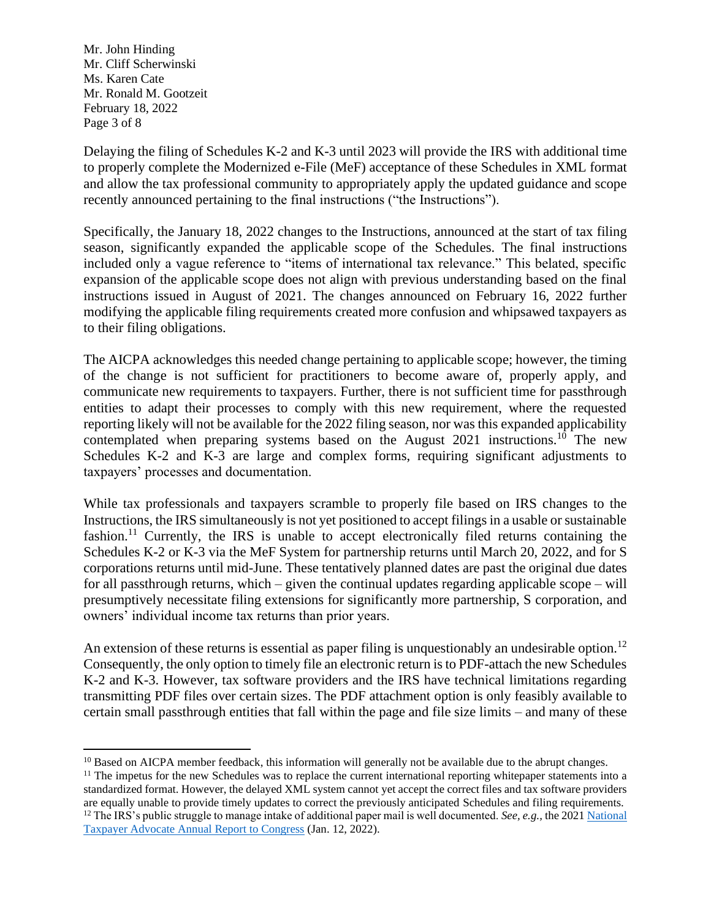Mr. John Hinding Mr. Cliff Scherwinski Ms. Karen Cate Mr. Ronald M. Gootzeit February 18, 2022 Page 3 of 8

Delaying the filing of Schedules K-2 and K-3 until 2023 will provide the IRS with additional time to properly complete the Modernized e-File (MeF) acceptance of these Schedules in XML format and allow the tax professional community to appropriately apply the updated guidance and scope recently announced pertaining to the final instructions ("the Instructions").

Specifically, the January 18, 2022 changes to the Instructions, announced at the start of tax filing season, significantly expanded the applicable scope of the Schedules. The final instructions included only a vague reference to "items of international tax relevance." This belated, specific expansion of the applicable scope does not align with previous understanding based on the final instructions issued in August of 2021. The changes announced on February 16, 2022 further modifying the applicable filing requirements created more confusion and whipsawed taxpayers as to their filing obligations.

The AICPA acknowledges this needed change pertaining to applicable scope; however, the timing of the change is not sufficient for practitioners to become aware of, properly apply, and communicate new requirements to taxpayers. Further, there is not sufficient time for passthrough entities to adapt their processes to comply with this new requirement, where the requested reporting likely will not be available for the 2022 filing season, nor was this expanded applicability contemplated when preparing systems based on the August  $2021$  instructions.<sup>10</sup> The new Schedules K-2 and K-3 are large and complex forms, requiring significant adjustments to taxpayers' processes and documentation.

While tax professionals and taxpayers scramble to properly file based on IRS changes to the Instructions, the IRS simultaneously is not yet positioned to accept filings in a usable or sustainable fashion.<sup>11</sup> Currently, the IRS is unable to accept electronically filed returns containing the Schedules K-2 or K-3 via the MeF System for partnership returns until March 20, 2022, and for S corporations returns until mid-June. These tentatively planned dates are past the original due dates for all passthrough returns, which – given the continual updates regarding applicable scope – will presumptively necessitate filing extensions for significantly more partnership, S corporation, and owners' individual income tax returns than prior years.

An extension of these returns is essential as paper filing is unquestionably an undesirable option.<sup>12</sup> Consequently, the only option to timely file an electronic return is to PDF-attach the new Schedules K-2 and K-3. However, tax software providers and the IRS have technical limitations regarding transmitting PDF files over certain sizes. The PDF attachment option is only feasibly available to certain small passthrough entities that fall within the page and file size limits – and many of these

<sup>&</sup>lt;sup>10</sup> Based on AICPA member feedback, this information will generally not be available due to the abrupt changes.

<sup>&</sup>lt;sup>11</sup> The impetus for the new Schedules was to replace the current international reporting whitepaper statements into a standardized format. However, the delayed XML system cannot yet accept the correct files and tax software providers are equally unable to provide timely updates to correct the previously anticipated Schedules and filing requirements. <sup>12</sup> The IRS's public struggle to manage intake of additional paper mail is well documented. *See, e.g.,* the 2021 National [Taxpayer Advocate Annual Report to Congress](https://www.taxpayeradvocate.irs.gov/reports/2021-annual-report-to-congress/) (Jan. 12, 2022).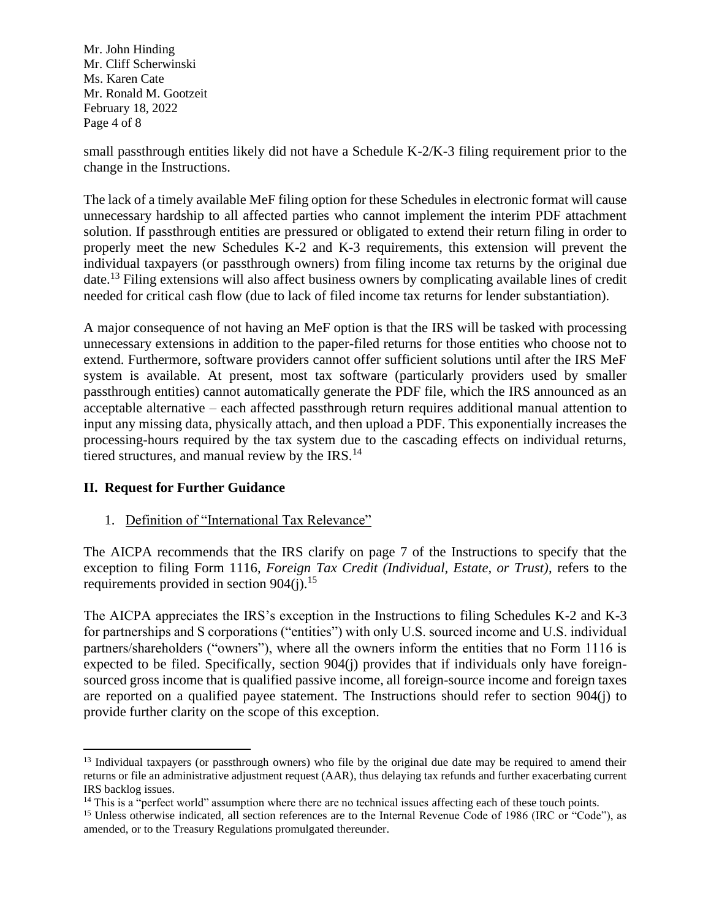Mr. John Hinding Mr. Cliff Scherwinski Ms. Karen Cate Mr. Ronald M. Gootzeit February 18, 2022 Page 4 of 8

small passthrough entities likely did not have a Schedule K-2/K-3 filing requirement prior to the change in the Instructions.

The lack of a timely available MeF filing option for these Schedules in electronic format will cause unnecessary hardship to all affected parties who cannot implement the interim PDF attachment solution. If passthrough entities are pressured or obligated to extend their return filing in order to properly meet the new Schedules K-2 and K-3 requirements, this extension will prevent the individual taxpayers (or passthrough owners) from filing income tax returns by the original due date.<sup>13</sup> Filing extensions will also affect business owners by complicating available lines of credit needed for critical cash flow (due to lack of filed income tax returns for lender substantiation).

A major consequence of not having an MeF option is that the IRS will be tasked with processing unnecessary extensions in addition to the paper-filed returns for those entities who choose not to extend. Furthermore, software providers cannot offer sufficient solutions until after the IRS MeF system is available. At present, most tax software (particularly providers used by smaller passthrough entities) cannot automatically generate the PDF file, which the IRS announced as an acceptable alternative – each affected passthrough return requires additional manual attention to input any missing data, physically attach, and then upload a PDF. This exponentially increases the processing-hours required by the tax system due to the cascading effects on individual returns, tiered structures, and manual review by the IRS.<sup>14</sup>

# **II. Request for Further Guidance**

1. Definition of "International Tax Relevance"

The AICPA recommends that the IRS clarify on page 7 of the Instructions to specify that the exception to filing Form 1116, *Foreign Tax Credit (Individual, Estate, or Trust)*, refers to the requirements provided in section  $904(i).$ <sup>15</sup>

The AICPA appreciates the IRS's exception in the Instructions to filing Schedules K-2 and K-3 for partnerships and S corporations ("entities") with only U.S. sourced income and U.S. individual partners/shareholders ("owners"), where all the owners inform the entities that no Form 1116 is expected to be filed. Specifically, section 904(j) provides that if individuals only have foreignsourced gross income that is qualified passive income, all foreign-source income and foreign taxes are reported on a qualified payee statement. The Instructions should refer to section 904(j) to provide further clarity on the scope of this exception.

<sup>&</sup>lt;sup>13</sup> Individual taxpayers (or passthrough owners) who file by the original due date may be required to amend their returns or file an administrative adjustment request (AAR), thus delaying tax refunds and further exacerbating current IRS backlog issues.

<sup>&</sup>lt;sup>14</sup> This is a "perfect world" assumption where there are no technical issues affecting each of these touch points.

<sup>&</sup>lt;sup>15</sup> Unless otherwise indicated, all section references are to the Internal Revenue Code of 1986 (IRC or "Code"), as amended, or to the Treasury Regulations promulgated thereunder.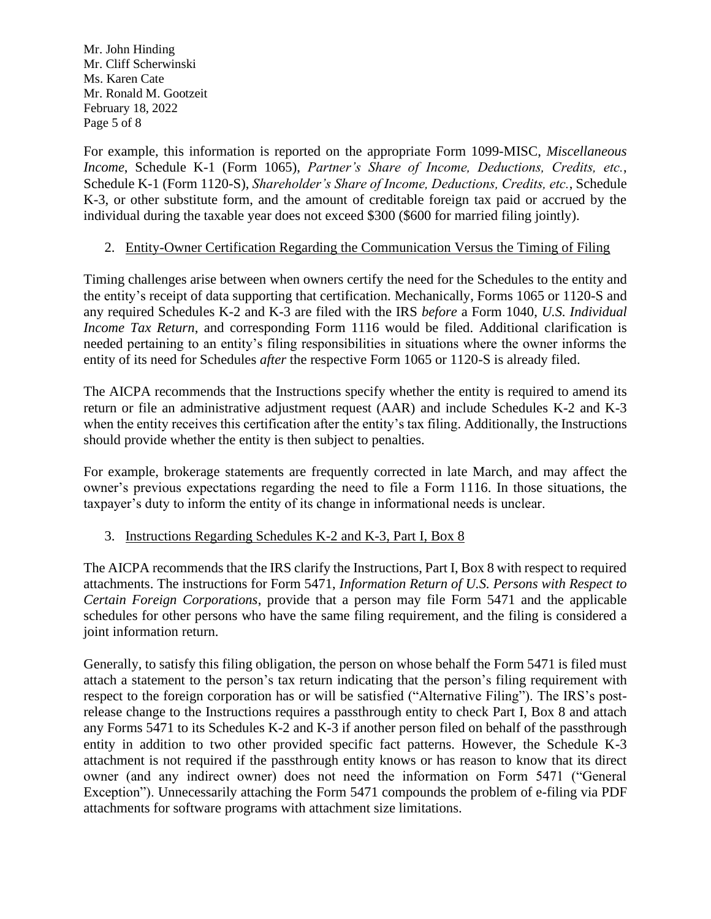Mr. John Hinding Mr. Cliff Scherwinski Ms. Karen Cate Mr. Ronald M. Gootzeit February 18, 2022 Page 5 of 8

For example, this information is reported on the appropriate Form 1099-MISC, *Miscellaneous Income*, Schedule K-1 (Form 1065), *Partner's Share of Income, Deductions, Credits, etc.*, Schedule K-1 (Form 1120-S), *Shareholder's Share of Income, Deductions, Credits, etc.*, Schedule K-3, or other substitute form, and the amount of creditable foreign tax paid or accrued by the individual during the taxable year does not exceed \$300 (\$600 for married filing jointly).

# 2. Entity-Owner Certification Regarding the Communication Versus the Timing of Filing

Timing challenges arise between when owners certify the need for the Schedules to the entity and the entity's receipt of data supporting that certification. Mechanically, Forms 1065 or 1120-S and any required Schedules K-2 and K-3 are filed with the IRS *before* a Form 1040, *U.S. Individual Income Tax Return*, and corresponding Form 1116 would be filed. Additional clarification is needed pertaining to an entity's filing responsibilities in situations where the owner informs the entity of its need for Schedules *after* the respective Form 1065 or 1120-S is already filed.

The AICPA recommends that the Instructions specify whether the entity is required to amend its return or file an administrative adjustment request (AAR) and include Schedules K-2 and K-3 when the entity receives this certification after the entity's tax filing. Additionally, the Instructions should provide whether the entity is then subject to penalties.

For example, brokerage statements are frequently corrected in late March, and may affect the owner's previous expectations regarding the need to file a Form 1116. In those situations, the taxpayer's duty to inform the entity of its change in informational needs is unclear.

# 3. Instructions Regarding Schedules K-2 and K-3, Part I, Box 8

The AICPA recommends that the IRS clarify the Instructions, Part I, Box 8 with respect to required attachments. The instructions for Form 5471, *Information Return of U.S. Persons with Respect to Certain Foreign Corporations*, provide that a person may file Form 5471 and the applicable schedules for other persons who have the same filing requirement, and the filing is considered a joint information return.

Generally, to satisfy this filing obligation, the person on whose behalf the Form 5471 is filed must attach a statement to the person's tax return indicating that the person's filing requirement with respect to the foreign corporation has or will be satisfied ("Alternative Filing"). The IRS's postrelease change to the Instructions requires a passthrough entity to check Part I, Box 8 and attach any Forms 5471 to its Schedules K-2 and K-3 if another person filed on behalf of the passthrough entity in addition to two other provided specific fact patterns. However, the Schedule K-3 attachment is not required if the passthrough entity knows or has reason to know that its direct owner (and any indirect owner) does not need the information on Form 5471 ("General Exception"). Unnecessarily attaching the Form 5471 compounds the problem of e-filing via PDF attachments for software programs with attachment size limitations.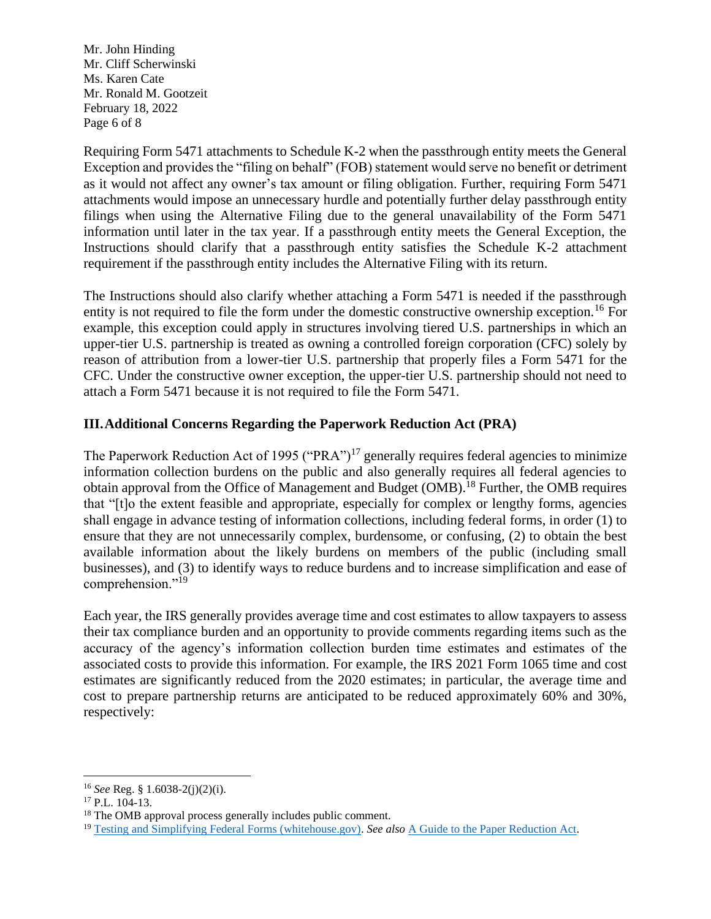Mr. John Hinding Mr. Cliff Scherwinski Ms. Karen Cate Mr. Ronald M. Gootzeit February 18, 2022 Page 6 of 8

Requiring Form 5471 attachments to Schedule K-2 when the passthrough entity meets the General Exception and provides the "filing on behalf" (FOB) statement would serve no benefit or detriment as it would not affect any owner's tax amount or filing obligation. Further, requiring Form 5471 attachments would impose an unnecessary hurdle and potentially further delay passthrough entity filings when using the Alternative Filing due to the general unavailability of the Form 5471 information until later in the tax year. If a passthrough entity meets the General Exception, the Instructions should clarify that a passthrough entity satisfies the Schedule K-2 attachment requirement if the passthrough entity includes the Alternative Filing with its return.

The Instructions should also clarify whether attaching a Form 5471 is needed if the passthrough entity is not required to file the form under the domestic constructive ownership exception.<sup>16</sup> For example, this exception could apply in structures involving tiered U.S. partnerships in which an upper-tier U.S. partnership is treated as owning a controlled foreign corporation (CFC) solely by reason of attribution from a lower-tier U.S. partnership that properly files a Form 5471 for the CFC. Under the constructive owner exception, the upper-tier U.S. partnership should not need to attach a Form 5471 because it is not required to file the Form 5471.

# **III.Additional Concerns Regarding the Paperwork Reduction Act (PRA)**

The Paperwork Reduction Act of 1995 ("PRA")<sup>17</sup> generally requires federal agencies to minimize information collection burdens on the public and also generally requires all federal agencies to obtain approval from the Office of Management and Budget (OMB).<sup>18</sup> Further, the OMB requires that "[t]o the extent feasible and appropriate, especially for complex or lengthy forms, agencies shall engage in advance testing of information collections, including federal forms, in order (1) to ensure that they are not unnecessarily complex, burdensome, or confusing, (2) to obtain the best available information about the likely burdens on members of the public (including small businesses), and (3) to identify ways to reduce burdens and to increase simplification and ease of comprehension."<sup>19</sup>

Each year, the IRS generally provides average time and cost estimates to allow taxpayers to assess their tax compliance burden and an opportunity to provide comments regarding items such as the accuracy of the agency's information collection burden time estimates and estimates of the associated costs to provide this information. For example, the IRS 2021 Form 1065 time and cost estimates are significantly reduced from the 2020 estimates; in particular, the average time and cost to prepare partnership returns are anticipated to be reduced approximately 60% and 30%, respectively:

<sup>16</sup> *See* Reg. § 1.6038-2(j)(2)(i).

<sup>&</sup>lt;sup>17</sup> P.L. 104-13.

<sup>&</sup>lt;sup>18</sup> The OMB approval process generally includes public comment.

<sup>19</sup> [Testing and Simplifying Federal Forms \(whitehouse.gov\).](https://www.whitehouse.gov/wp-content/uploads/legacy_drupal_files/omb/inforeg/inforeg/memos/testing-and-simplifying-federal-forms.pdf) *See also* [A Guide to the Paper Reduction Act.](https://pra.digital.gov/about/)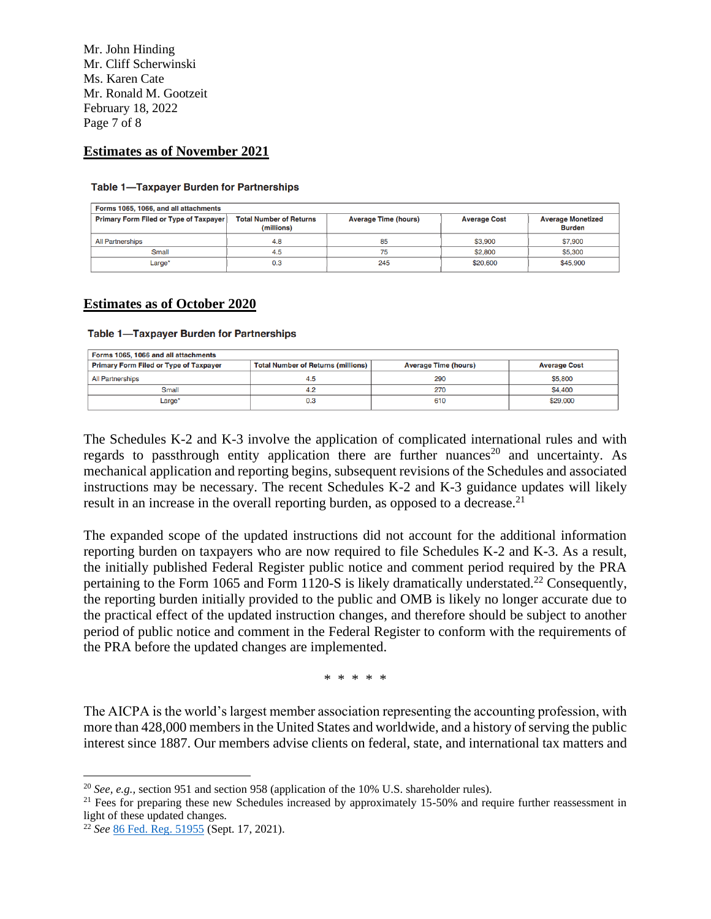Mr. John Hinding Mr. Cliff Scherwinski Ms. Karen Cate Mr. Ronald M. Gootzeit February 18, 2022 Page 7 of 8

#### **Estimates as of November 2021**

#### **Table 1-Taxpayer Burden for Partnerships**

| Forms 1065, 1066, and all attachments         |                                              |                             |                     |                                           |  |  |
|-----------------------------------------------|----------------------------------------------|-----------------------------|---------------------|-------------------------------------------|--|--|
| <b>Primary Form Filed or Type of Taxpayer</b> | <b>Total Number of Returns</b><br>(millions) | <b>Average Time (hours)</b> | <b>Average Cost</b> | <b>Average Monetized</b><br><b>Burden</b> |  |  |
| <b>All Partnerships</b>                       | 4.8                                          | 85                          | \$3,900             | \$7,900                                   |  |  |
| Small                                         | 4.5                                          | 75                          | \$2,800             | \$5,300                                   |  |  |
| Large*                                        | 0.3                                          | 245                         | \$20,600            | \$45,900                                  |  |  |

#### **Estimates as of October 2020**

#### **Table 1-Taxpayer Burden for Partnerships**

| Forms 1065, 1066 and all attachments          |                                           |                             |                     |  |  |
|-----------------------------------------------|-------------------------------------------|-----------------------------|---------------------|--|--|
| <b>Primary Form Filed or Type of Taxpayer</b> | <b>Total Number of Returns (millions)</b> | <b>Average Time (hours)</b> | <b>Average Cost</b> |  |  |
| <b>All Partnerships</b>                       | 4.5                                       | 290                         | \$5,800             |  |  |
| Small                                         | 4.2                                       | 270                         | <b>\$4,400</b>      |  |  |
| Large*                                        | 0.3                                       | 610                         | \$29,000            |  |  |

The Schedules K-2 and K-3 involve the application of complicated international rules and with regards to passthrough entity application there are further nuances<sup>20</sup> and uncertainty. As mechanical application and reporting begins, subsequent revisions of the Schedules and associated instructions may be necessary. The recent Schedules K-2 and K-3 guidance updates will likely result in an increase in the overall reporting burden, as opposed to a decrease.<sup>21</sup>

The expanded scope of the updated instructions did not account for the additional information reporting burden on taxpayers who are now required to file Schedules K-2 and K-3. As a result, the initially published Federal Register public notice and comment period required by the PRA pertaining to the Form 1065 and Form 1120-S is likely dramatically understated.<sup>22</sup> Consequently, the reporting burden initially provided to the public and OMB is likely no longer accurate due to the practical effect of the updated instruction changes, and therefore should be subject to another period of public notice and comment in the Federal Register to conform with the requirements of the PRA before the updated changes are implemented.

\* \* \* \* \*

The AICPA is the world's largest member association representing the accounting profession, with more than 428,000 members in the United States and worldwide, and a history of serving the public interest since 1887. Our members advise clients on federal, state, and international tax matters and

<sup>20</sup> *See, e.g.,* section 951 and section 958 (application of the 10% U.S. shareholder rules).

<sup>&</sup>lt;sup>21</sup> Fees for preparing these new Schedules increased by approximately 15-50% and require further reassessment in light of these updated changes.

<sup>22</sup> *See* [86 Fed. Reg. 51955](https://nam12.safelinks.protection.outlook.com/?url=https%3A%2F%2Fwww.federalregister.gov%2Fdocuments%2F2021%2F09%2F17%2F2021-20123%2Fproposed-collection-comment-request-for-forms-1065-1066-1120-1120-c-1120-f-1120-h-1120-nd&data=04%7C01%7CAlexander.Scott%40aicpa-cima.com%7Cd739a91ce3b04e37e28708d9f0b49eaa%7Cab44e261e3294327bbdd17a5478226a1%7C1%7C0%7C637805481738621731%7CUnknown%7CTWFpbGZsb3d8eyJWIjoiMC4wLjAwMDAiLCJQIjoiV2luMzIiLCJBTiI6Ik1haWwiLCJXVCI6Mn0%3D%7C3000&sdata=H7RHvRSt7q4Xlk04gW89ub0GmCVhLfijt53VKpM1Abk%3D&reserved=0) (Sept. 17, 2021).